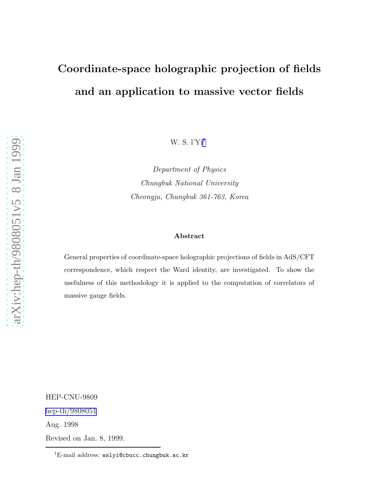# Coordinate-space holographic projection of fields and an application to massive vector fields

W. S. l'Yi 1

Department of Physics Chungbuk National University Cheongju, Chungbuk 361-763, Korea

#### Abstract

General properties of coordinate-space holographic projections of fields in AdS/CFT correspondence, which respect the Ward identity, are investigated. To show the usefulness of this methodology it is applied to the computation of correlators of massive gauge fields.

HEP-CNU-9809 [hep-th/9808051](http://arxiv.org/abs/hep-th/9808051) Aug. 1998 Revised on Jan. 8, 1999.

 ${}^{1}E$ -mail address: wslyi@cbucc.chungbuk.ac.kr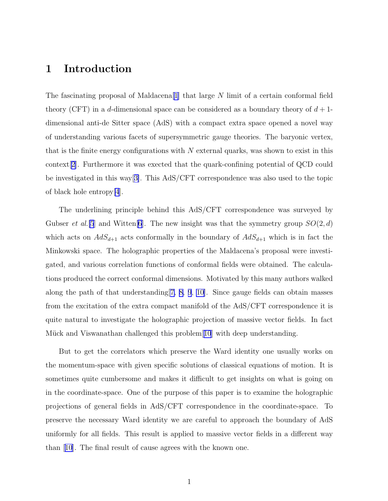#### 1 Introduction

The fascinating proposal of Maldacena<sup>[\[1\]](#page-10-0)</sup> that large N limit of a certain conformal field theory (CFT) in a d-dimensional space can be considered as a boundary theory of  $d+1$ dimensional anti-de Sitter space (AdS) with a compact extra space opened a novel way of understanding various facets of supersymmetric gauge theories. The baryonic vertex, that is the finite energy configurations with  $N$  external quarks, was shown to exist in this context[[2\]](#page-11-0). Furthermore it was exected that the quark-confining potential of QCD could be investigated in this way[[3\]](#page-11-0). This AdS/CFT correspondence was also used to the topic of black hole entropy[\[4](#page-11-0)].

The underlining principle behind this AdS/CFT correspondence was surveyed by Gubser et al. [\[5](#page-11-0)] and Witten [\[6](#page-11-0)]. The new insight was that the symmetry group  $SO(2, d)$ which acts on  $AdS_{d+1}$  acts conformally in the boundary of  $AdS_{d+1}$  which is in fact the Minkowski space. The holographic properties of the Maldacena's proposal were investigated, and various correlation functions of conformal fields were obtained. The calculations produced the correct conformal dimensions. Motivated by this many authors walked along the path of that understanding[[7, 8, 9](#page-11-0), [10\]](#page-11-0). Since gauge fields can obtain masses from the excitation of the extra compact manifold of the AdS/CFT correspondence it is quite natural to investigate the holographic projection of massive vector fields. In fact Mück and Viswanathan challenged this problem $[10]$  $[10]$  $[10]$  with deep understanding.

But to get the correlators which preserve the Ward identity one usually works on the momentum-space with given specific solutions of classical equations of motion. It is sometimes quite cumbersome and makes it difficult to get insights on what is going on in the coordinate-space. One of the purpose of this paper is to examine the holographic projections of general fields in AdS/CFT correspondence in the coordinate-space. To preserve the necessary Ward identity we are careful to approach the boundary of AdS uniformly for all fields. This result is applied to massive vector fields in a different way than[[10](#page-11-0)]. The final result of cause agrees with the known one.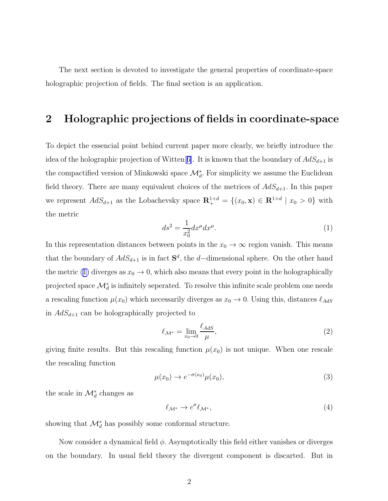<span id="page-2-0"></span>The next section is devoted to investigate the general properties of coordinate-space holographic projection of fields. The final section is an application.

### 2 Holographic projections of fields in coordinate-space

To depict the essencial point behind current paper more clearly, we briefly introduce the idea of the holographic projection of Witten[[6\]](#page-11-0). It is known that the boundary of  $AdS_{d+1}$  is the compactified version of Minkowski space  $\mathcal{M}^*_{d}$ . For simplicity we assume the Euclidean field theory. There are many equivalent choices of the metrices of  $AdS_{d+1}$ . In this paper we represent  $AdS_{d+1}$  as the Lobachevsky space  $\mathbf{R}^{1+d}_+ = \{(x_0, \mathbf{x}) \in \mathbf{R}^{1+d} \mid x_0 > 0\}$  with the metric

$$
ds^2 = \frac{1}{x_0^2} dx^\mu dx^\mu.
$$
 (1)

In this representation distances between points in the  $x_0 \to \infty$  region vanish. This means that the boundary of  $AdS_{d+1}$  is in fact  $S^d$ , the d–dimensional sphere. On the other hand the metric (1) diverges as  $x_0 \to 0$ , which also means that every point in the holographically projected space  $\mathcal{M}_d^*$  is infinitely seperated. To resolve this infinite scale problem one needs a rescaling function  $\mu(x_0)$  which necessarily diverges as  $x_0 \to 0$ . Using this, distances  $\ell_{AdS}$ in  $AdS_{d+1}$  can be holographically projected to

$$
\ell_{\mathcal{M}^*} = \lim_{x_0 \to 0} \frac{\ell_{AdS}}{\mu},\tag{2}
$$

giving finite results. But this rescaling function  $\mu(x_0)$  is not unique. When one rescale the rescaling function

$$
\mu(x_0) \to e^{-\sigma(x_0)} \mu(x_0), \tag{3}
$$

the scale in  $\mathcal{M}_d^*$  changes as

$$
\ell_{\mathcal{M}^*} \to e^{\sigma} \ell_{\mathcal{M}^*},\tag{4}
$$

showing that  $\mathcal{M}^*_d$  has possibly some conformal structure.

Now consider a dynamical field  $\phi$ . Asymptotically this field either vanishes or diverges on the boundary. In usual field theory the divergent component is discarted. But in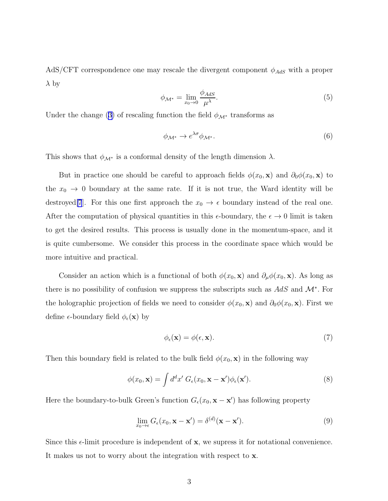<span id="page-3-0"></span>AdS/CFT correspondence one may rescale the divergent component  $\phi_{AdS}$  with a proper  $\lambda$  by

$$
\phi_{\mathcal{M}^*} = \lim_{x_0 \to 0} \frac{\phi_{AdS}}{\mu^{\lambda}}.
$$
\n(5)

Underthe change ([3\)](#page-2-0) of rescaling function the field  $\phi_{\mathcal{M}^*}$  transforms as

$$
\phi_{\mathcal{M}^*} \to e^{\lambda \sigma} \phi_{\mathcal{M}^*}.\tag{6}
$$

This shows that  $\phi_{\mathcal{M}^*}$  is a conformal density of the length dimension  $\lambda$ .

But in practice one should be careful to approach fields  $\phi(x_0, \mathbf{x})$  and  $\partial_0 \phi(x_0, \mathbf{x})$  to the  $x_0 \to 0$  boundary at the same rate. If it is not true, the Ward identity will be destroyed[\[7](#page-11-0)]. For this one first approach the  $x_0 \to \epsilon$  boundary instead of the real one. After the computation of physical quantities in this  $\epsilon$ -boundary, the  $\epsilon \to 0$  limit is taken to get the desired results. This process is usually done in the momentum-space, and it is quite cumbersome. We consider this process in the coordinate space which would be more intuitive and practical.

Consider an action which is a functional of both  $\phi(x_0, \mathbf{x})$  and  $\partial_\mu \phi(x_0, \mathbf{x})$ . As long as there is no possibility of confusion we suppress the subscripts such as  $AdS$  and  $\mathcal{M}^*$ . For the holographic projection of fields we need to consider  $\phi(x_0, \mathbf{x})$  and  $\partial_0 \phi(x_0, \mathbf{x})$ . First we define  $\epsilon$ -boundary field  $\phi_{\epsilon}(\mathbf{x})$  by

$$
\phi_{\epsilon}(\mathbf{x}) = \phi(\epsilon, \mathbf{x}).\tag{7}
$$

Then this boundary field is related to the bulk field  $\phi(x_0, \mathbf{x})$  in the following way

$$
\phi(x_0, \mathbf{x}) = \int d^d x' \; G_{\epsilon}(x_0, \mathbf{x} - \mathbf{x}') \phi_{\epsilon}(\mathbf{x}'). \tag{8}
$$

Here the boundary-to-bulk Green's function  $G_{\epsilon}(x_0, \mathbf{x} - \mathbf{x}')$  has following property

$$
\lim_{x_0 \to \epsilon} G_{\epsilon}(x_0, \mathbf{x} - \mathbf{x}') = \delta^{(d)}(\mathbf{x} - \mathbf{x}'). \tag{9}
$$

Since this  $\epsilon$ -limit procedure is independent of x, we supress it for notational convenience. It makes us not to worry about the integration with respect to x.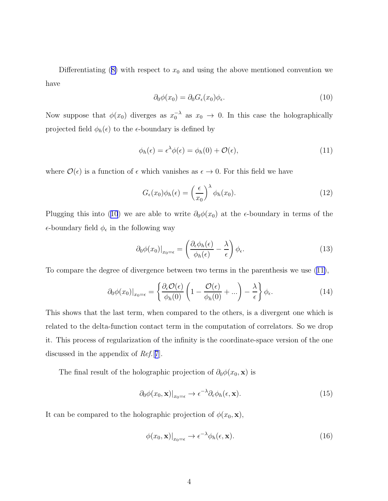Differentiating $(8)$  $(8)$  with respect to  $x_0$  and using the above mentioned convention we have

$$
\partial_0 \phi(x_0) = \partial_0 G_{\epsilon}(x_0) \phi_{\epsilon}.\tag{10}
$$

Now suppose that  $\phi(x_0)$  diverges as  $x_0^{-\lambda}$  as  $x_0 \to 0$ . In this case the holographically projected field  $\phi_h(\epsilon)$  to the  $\epsilon$ -boundary is defined by

$$
\phi_h(\epsilon) = \epsilon^{\lambda} \phi(\epsilon) = \phi_h(0) + \mathcal{O}(\epsilon), \tag{11}
$$

where  $\mathcal{O}(\epsilon)$  is a function of  $\epsilon$  which vanishes as  $\epsilon \to 0$ . For this field we have

$$
G_{\epsilon}(x_0)\phi_h(\epsilon) = \left(\frac{\epsilon}{x_0}\right)^{\lambda}\phi_h(x_0).
$$
\n(12)

Plugging this into (10) we are able to write  $\partial_0 \phi(x_0)$  at the  $\epsilon$ -boundary in terms of the  $\epsilon$ -boundary field  $\phi_{\epsilon}$  in the following way

$$
\partial_0 \phi(x_0)|_{x_0=\epsilon} = \left(\frac{\partial_\epsilon \phi_h(\epsilon)}{\phi_h(\epsilon)} - \frac{\lambda}{\epsilon}\right) \phi_\epsilon.
$$
\n(13)

To compare the degree of divergence between two terms in the parenthesis we use (11),

$$
\partial_0 \phi(x_0)|_{x_0=\epsilon} = \left\{ \frac{\partial_\epsilon \mathcal{O}(\epsilon)}{\phi_h(0)} \left( 1 - \frac{\mathcal{O}(\epsilon)}{\phi_h(0)} + \ldots \right) - \frac{\lambda}{\epsilon} \right\} \phi_\epsilon.
$$
 (14)

This shows that the last term, when compared to the others, is a divergent one which is related to the delta-function contact term in the computation of correlators. So we drop it. This process of regularization of the infinity is the coordinate-space version of the one discussed in the appendix of Ref.[[7](#page-11-0)].

The final result of the holographic projection of  $\partial_0 \phi(x_0, \mathbf{x})$  is

$$
\partial_0 \phi(x_0, \mathbf{x})|_{x_0 = \epsilon} \to \epsilon^{-\lambda} \partial_\epsilon \phi_h(\epsilon, \mathbf{x}). \tag{15}
$$

It can be compared to the holographic projection of  $\phi(x_0, \mathbf{x}),$ 

$$
\phi(x_0, \mathbf{x})|_{x_0 = \epsilon} \to \epsilon^{-\lambda} \phi_h(\epsilon, \mathbf{x}). \tag{16}
$$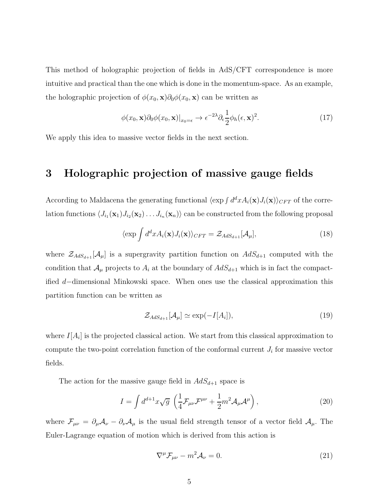<span id="page-5-0"></span>This method of holographic projection of fields in AdS/CFT correspondence is more intuitive and practical than the one which is done in the momentum-space. As an example, the holographic projection of  $\phi(x_0, \mathbf{x})\partial_0\phi(x_0, \mathbf{x})$  can be written as

$$
\phi(x_0, \mathbf{x}) \partial_0 \phi(x_0, \mathbf{x})|_{x_0 = \epsilon} \to \epsilon^{-2\lambda} \partial_{\epsilon} \frac{1}{2} \phi_h(\epsilon, \mathbf{x})^2. \tag{17}
$$

We apply this idea to massive vector fields in the next section.

### 3 Holographic projection of massive gauge fields

According to Maldacena the generating functional  $\langle \exp \int d^dx A_i(\mathbf{x}) J_i(\mathbf{x}) \rangle_{CFT}$  of the correlation functions  $\langle J_{i_1}(\mathbf{x}_1)J_{i_2}(\mathbf{x}_2)\dots J_{i_n}(\mathbf{x}_n)\rangle$  can be constructed from the following proposal

$$
\langle \exp \int d^d x A_i(\mathbf{x}) J_i(\mathbf{x}) \rangle_{CFT} = \mathcal{Z}_{AdS_{d+1}}[\mathcal{A}_{\mu}], \tag{18}
$$

where  $\mathcal{Z}_{AdS_{d+1}}[\mathcal{A}_{\mu}]$  is a supergravity partition function on  $AdS_{d+1}$  computed with the condition that  $\mathcal{A}_{\mu}$  projects to  $A_i$  at the boundary of  $AdS_{d+1}$  which is in fact the compactified d−dimensional Minkowski space. When ones use the classical approximation this partition function can be written as

$$
\mathcal{Z}_{AdS_{d+1}}[\mathcal{A}_{\mu}] \simeq \exp(-I[A_i]),\tag{19}
$$

where  $I[A_i]$  is the projected classical action. We start from this classical approximation to compute the two-point correlation function of the conformal current  $J_i$  for massive vector fields.

The action for the massive gauge field in  $AdS_{d+1}$  space is

$$
I = \int d^{d+1}x \sqrt{g} \left( \frac{1}{4} \mathcal{F}_{\mu\nu} \mathcal{F}^{\mu\nu} + \frac{1}{2} m^2 \mathcal{A}_{\mu} \mathcal{A}^{\mu} \right), \qquad (20)
$$

where  $\mathcal{F}_{\mu\nu} = \partial_{\mu}A_{\nu} - \partial_{\nu}A_{\mu}$  is the usual field strength tensor of a vector field  $\mathcal{A}_{\mu}$ . The Euler-Lagrange equation of motion which is derived from this action is

$$
\nabla^{\mu} \mathcal{F}_{\mu\nu} - m^2 \mathcal{A}_{\nu} = 0. \tag{21}
$$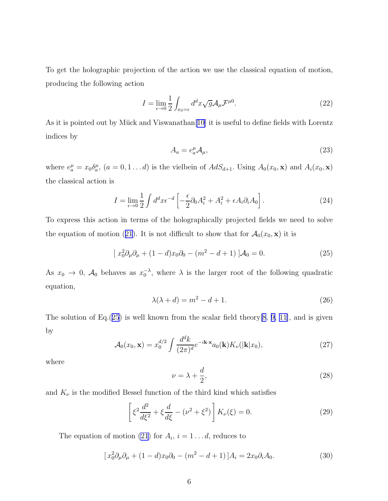<span id="page-6-0"></span>To get the holographic projection of the action we use the classical equation of motion, producing the following action

$$
I = \lim_{\epsilon \to 0} \frac{1}{2} \int_{x_0 = \epsilon} d^d x \sqrt{g} \mathcal{A}_{\mu} \mathcal{F}^{\mu 0}.
$$
 (22)

As it is pointed out by Mück and Viswanathan<sup>[\[10](#page-11-0)]</sup> it is useful to define fields with Lorentz indices by

$$
A_a = e_a^{\mu} \mathcal{A}_{\mu}, \tag{23}
$$

where  $e_a^{\mu} = x_0 \delta_a^{\mu}$ ,  $(a = 0, 1 \dots d)$  is the vielbein of  $AdS_{d+1}$ . Using  $A_0(x_0, \mathbf{x})$  and  $A_i(x_0, \mathbf{x})$ the classical action is

$$
I = \lim_{\epsilon \to 0} \frac{1}{2} \int d^d x \epsilon^{-d} \left[ -\frac{\epsilon}{2} \partial_0 A_i^2 + A_i^2 + \epsilon A_i \partial_i A_0 \right]. \tag{24}
$$

To express this action in terms of the holographically projected fields we need to solve theequation of motion ([21](#page-5-0)). It is not difficult to show that for  $\mathcal{A}_0(x_0, \mathbf{x})$  it is

$$
[x_0^2 \partial_\mu \partial_\mu + (1 - d)x_0 \partial_0 - (m^2 - d + 1)]\mathcal{A}_0 = 0.
$$
 (25)

As  $x_0 \to 0$ ,  $\mathcal{A}_0$  behaves as  $x_0^{-\lambda}$ , where  $\lambda$  is the larger root of the following quadratic equation,

$$
\lambda(\lambda + d) = m^2 - d + 1. \tag{26}
$$

The solution of Eq.(25) is well known from the scalar field theory  $[8, 9, 11]$  $[8, 9, 11]$  $[8, 9, 11]$  $[8, 9, 11]$  $[8, 9, 11]$ , and is given by

$$
\mathcal{A}_0(x_0, \mathbf{x}) = x_0^{d/2} \int \frac{d^d k}{(2\pi)^d} e^{-i\mathbf{k} \cdot \mathbf{x}} a_0(\mathbf{k}) K_\nu(|\mathbf{k}|x_0), \tag{27}
$$

where

$$
\nu = \lambda + \frac{d}{2},\tag{28}
$$

and  $K_{\nu}$  is the modified Bessel function of the third kind which satisfies

$$
\left[\xi^2 \frac{d^2}{d\xi^2} + \xi \frac{d}{d\xi} - (\nu^2 + \xi^2)\right] K_{\nu}(\xi) = 0.
$$
 (29)

The equation of motion [\(21](#page-5-0)) for  $A_i$ ,  $i = 1...d$ , reduces to

$$
[x_0^2 \partial_\mu \partial_\mu + (1 - d)x_0 \partial_0 - (m^2 - d + 1)]A_i = 2x_0 \partial_i A_0.
$$
 (30)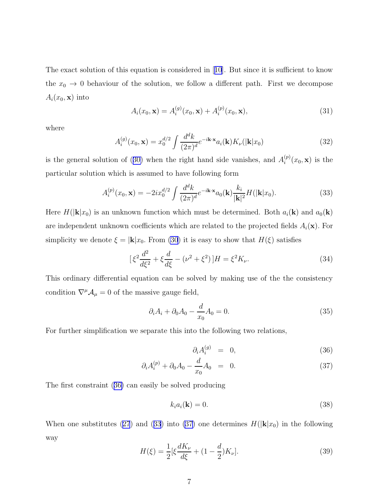<span id="page-7-0"></span>The exact solution of this equation is considered in[[10](#page-11-0)]. But since it is sufficient to know the  $x_0 \to 0$  behaviour of the solution, we follow a different path. First we decompose  $A_i(x_0, \mathbf{x})$  into

$$
A_i(x_0, \mathbf{x}) = A_i^{(g)}(x_0, \mathbf{x}) + A_i^{(p)}(x_0, \mathbf{x}),
$$
\n(31)

where

$$
A_i^{(g)}(x_0, \mathbf{x}) = x_0^{d/2} \int \frac{d^d k}{(2\pi)^d} e^{-i\mathbf{k}\cdot\mathbf{x}} a_i(\mathbf{k}) K_\nu(|\mathbf{k}|x_0)
$$
(32)

isthe general solution of ([30\)](#page-6-0) when the right hand side vanishes, and  $A_i^{(p)}$  $i^{(p)}(x_0, \mathbf{x})$  is the particular solution which is assumed to have following form

$$
A_i^{(p)}(x_0, \mathbf{x}) = -2ix_0^{d/2} \int \frac{d^d k}{(2\pi)^d} e^{-i\mathbf{k}\cdot\mathbf{x}} a_0(\mathbf{k}) \frac{k_i}{|\mathbf{k}|^2} H(|\mathbf{k}|x_0).
$$
 (33)

Here  $H(|\mathbf{k}|x_0)$  is an unknown function which must be determined. Both  $a_i(\mathbf{k})$  and  $a_0(\mathbf{k})$ are independent unknown coefficients which are related to the projected fields  $A_i(\mathbf{x})$ . For simplicity we denote  $\xi = |\mathbf{k}|x_0$ . From [\(30](#page-6-0)) it is easy to show that  $H(\xi)$  satisfies

$$
\left[\xi^2 \frac{d^2}{d\xi^2} + \xi \frac{d}{d\xi} - (\nu^2 + \xi^2)\right]H = \xi^2 K_\nu.
$$
\n(34)

This ordinary differential equation can be solved by making use of the the consistency condition  $\nabla^{\mu}\mathcal{A}_{\mu}=0$  of the massive gauge field,

$$
\partial_i A_i + \partial_0 A_0 - \frac{d}{x_0} A_0 = 0. \tag{35}
$$

For further simplification we separate this into the following two relations,

$$
\partial_i A_i^{(g)} = 0, \tag{36}
$$

$$
\partial_i A_i^{(p)} + \partial_0 A_0 - \frac{d}{x_0} A_0 = 0. \tag{37}
$$

The first constraint (36) can easily be solved producing

$$
k_i a_i(\mathbf{k}) = 0. \tag{38}
$$

Whenone substitutes ([27](#page-6-0)) and (33) into (37) one determines  $H(|\mathbf{k}|x_0)$  in the following way

$$
H(\xi) = \frac{1}{2} [\xi \frac{dK_{\nu}}{d\xi} + (1 - \frac{d}{2})K_{\nu}].
$$
\n(39)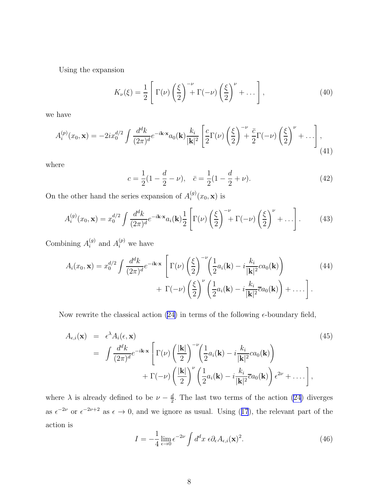<span id="page-8-0"></span>Using the expansion

$$
K_{\nu}(\xi) = \frac{1}{2} \left[ \Gamma(\nu) \left( \frac{\xi}{2} \right)^{-\nu} + \Gamma(-\nu) \left( \frac{\xi}{2} \right)^{\nu} + \dots \right],
$$
 (40)

we have

$$
A_i^{(p)}(x_0, \mathbf{x}) = -2ix_0^{d/2} \int \frac{d^d k}{(2\pi)^d} e^{-i\mathbf{k}\cdot\mathbf{x}} a_0(\mathbf{k}) \frac{k_i}{|\mathbf{k}|^2} \left[ \frac{c}{2} \Gamma(\nu) \left(\frac{\xi}{2}\right)^{-\nu} + \frac{\bar{c}}{2} \Gamma(-\nu) \left(\frac{\xi}{2}\right)^{\nu} + \dots \right],
$$
\n(41)

where

$$
c = \frac{1}{2}(1 - \frac{d}{2} - \nu), \quad \bar{c} = \frac{1}{2}(1 - \frac{d}{2} + \nu).
$$
 (42)

On the other hand the series expansion of  $A_i^{(g)}$  $x_i^{(g)}(x_0, \mathbf{x})$  is

$$
A_i^{(g)}(x_0, \mathbf{x}) = x_0^{d/2} \int \frac{d^d k}{(2\pi)^d} e^{-i\mathbf{k} \cdot \mathbf{x}} a_i(\mathbf{k}) \frac{1}{2} \left[ \Gamma(\nu) \left( \frac{\xi}{2} \right)^{-\nu} + \Gamma(-\nu) \left( \frac{\xi}{2} \right)^{\nu} + \dots \right]. \tag{43}
$$

Combining  $A_i^{(g)}$  and  $A_i^{(p)}$  we have

$$
A_i(x_0, \mathbf{x}) = x_0^{d/2} \int \frac{d^d k}{(2\pi)^d} e^{-i\mathbf{k} \cdot \mathbf{x}} \left[ \Gamma(\nu) \left( \frac{\xi}{2} \right)^{-\nu} \left( \frac{1}{2} a_i(\mathbf{k}) - i \frac{k_i}{|\mathbf{k}|^2} c a_0(\mathbf{k}) \right) + \Gamma(-\nu) \left( \frac{\xi}{2} \right)^{\nu} \left( \frac{1}{2} a_i(\mathbf{k}) - i \frac{k_i}{|\mathbf{k}|^2} \overline{c} a_0(\mathbf{k}) \right) + \dots \right].
$$
\n(44)

Now rewrite the classical action [\(24\)](#page-6-0) in terms of the following  $\epsilon$ -boundary field,

$$
A_{\epsilon,i}(\mathbf{x}) = \epsilon^{\lambda} A_i(\epsilon, \mathbf{x})
$$
\n
$$
= \int \frac{d^d k}{(2\pi)^d} e^{-i\mathbf{k} \cdot \mathbf{x}} \left[ \Gamma(\nu) \left( \frac{|\mathbf{k}|}{2} \right)^{-\nu} \left( \frac{1}{2} a_i(\mathbf{k}) - i \frac{k_i}{|\mathbf{k}|^2} c a_0(\mathbf{k}) \right) + \Gamma(-\nu) \left( \frac{|\mathbf{k}|}{2} \right)^{\nu} \left( \frac{1}{2} a_i(\mathbf{k}) - i \frac{k_i}{|\mathbf{k}|^2} \overline{c} a_0(\mathbf{k}) \right) \epsilon^{2\nu} + \dots \right],
$$
\n(45)

where  $\lambda$  is already defined to be  $\nu - \frac{d}{2}$  $\frac{d}{2}$ . The last two terms of the action [\(24](#page-6-0)) diverges as $\epsilon^{-2\nu}$  or  $\epsilon^{-2\nu+2}$  as  $\epsilon \to 0$ , and we ignore as usual. Using ([17](#page-5-0)), the relevant part of the action is

$$
I = -\frac{1}{4} \lim_{\epsilon \to 0} \epsilon^{-2\nu} \int d^d x \ \epsilon \partial_{\epsilon} A_{\epsilon,i}(\mathbf{x})^2.
$$
 (46)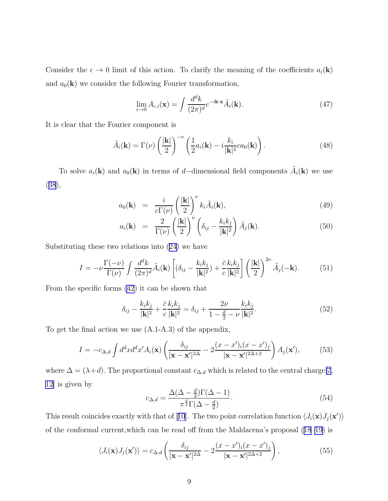Consider the  $\epsilon \to 0$  limit of this action. To clarify the meaning of the coefficients  $a_i(\mathbf{k})$ and  $a_0(\mathbf{k})$  we consider the following Fourier transformation,

$$
\lim_{\epsilon \to 0} A_{\epsilon,i}(\mathbf{x}) = \int \frac{d^d k}{(2\pi)^d} e^{-i\mathbf{k} \cdot \mathbf{x}} \tilde{A}_i(\mathbf{k}). \tag{47}
$$

It is clear that the Fourier component is

$$
\tilde{A}_i(\mathbf{k}) = \Gamma(\nu) \left(\frac{|\mathbf{k}|}{2}\right)^{-\nu} \left(\frac{1}{2}a_i(\mathbf{k}) - i\frac{k_i}{|\mathbf{k}|^2}ca_0(\mathbf{k})\right).
$$
\n(48)

To solve  $a_i(\mathbf{k})$  and  $a_0(\mathbf{k})$  in terms of d–dimensional field components  $\tilde{A}_i(\mathbf{k})$  we use ([38](#page-7-0)),

$$
a_0(\mathbf{k}) = \frac{i}{c\Gamma(\nu)} \left(\frac{|\mathbf{k}|}{2}\right)^{\nu} k_i \tilde{A}_i(\mathbf{k}), \tag{49}
$$

$$
a_i(\mathbf{k}) = \frac{2}{\Gamma(\nu)} \left(\frac{|\mathbf{k}|}{2}\right)^{\nu} \left(\delta_{ij} - \frac{k_i k_j}{|\mathbf{k}|^2}\right) \tilde{A}_j(\mathbf{k}). \tag{50}
$$

Substituting these two relations into([24\)](#page-6-0) we have

$$
I = -\nu \frac{\Gamma(-\nu)}{\Gamma(\nu)} \int \frac{d^d k}{(2\pi)^d} \tilde{A}_i(\mathbf{k}) \left[ (\delta_{ij} - \frac{k_i k_j}{|\mathbf{k}|^2}) + \frac{\bar{c}}{c} \frac{k_i k_j}{|\mathbf{k}|^2} \right] \left( \frac{|\mathbf{k}|}{2} \right)^{2\nu} \tilde{A}_j(-\mathbf{k}). \tag{51}
$$

From the specific forms [\(42](#page-8-0)) it can be shown that

$$
\delta_{ij} - \frac{k_i k_j}{|\mathbf{k}|^2} + \frac{\bar{c}}{c} \frac{k_i k_j}{|\mathbf{k}|^2} = \delta_{ij} + \frac{2\nu}{1 - \frac{d}{2} - \nu} \frac{k_i k_j}{|\mathbf{k}|^2}.
$$
\n(52)

To get the final action we use (A.1-A.3) of the appendix,

$$
I = -c_{\Delta,d} \int d^d x d^d x' A_i(\mathbf{x}) \left( \frac{\delta_{ij}}{|\mathbf{x} - \mathbf{x}'|^{2\Delta}} - 2 \frac{(x - x')_i (x - x')_j}{|\mathbf{x} - \mathbf{x}'|^{2\Delta + 2}} \right) A_j(\mathbf{x}'),\tag{53}
$$

where  $\Delta = (\lambda + d)$ . The proportional constant  $c_{\Delta,d}$  which is related to the central charge[\[7](#page-11-0), [12\]](#page-12-0) is given by

$$
c_{\Delta,d} = \frac{\Delta(\Delta - \frac{d}{2})\Gamma(\Delta - 1)}{\pi^{\frac{d}{2}}\Gamma(\Delta - \frac{d}{2})}.
$$
\n(54)

Thisresult coincides exactly with that of [[10](#page-11-0)]. The two point correlation function  $\langle J_i(\mathbf{x})J_j(\mathbf{x}')\rangle$ of the conformal current,which can be read off from the Maldacena's proposal([18–19\)](#page-5-0) is

$$
\langle J_i(\mathbf{x})J_j(\mathbf{x}')\rangle = c_{\Delta,d} \left( \frac{\delta_{ij}}{|\mathbf{x} - \mathbf{x}'|^{2\Delta}} - 2 \frac{(x - x')_i(x - x')_j}{|\mathbf{x} - \mathbf{x}'|^{2\Delta + 2}} \right),\tag{55}
$$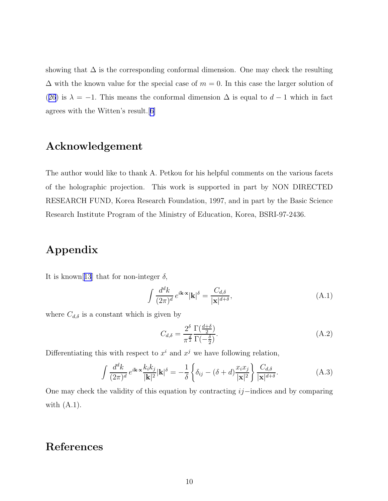<span id="page-10-0"></span>showing that  $\Delta$  is the corresponding conformal dimension. One may check the resulting  $\Delta$  with the known value for the special case of  $m = 0$ . In this case the larger solution of ([26](#page-6-0)) is  $\lambda = -1$ . This means the conformal dimension  $\Delta$  is equal to  $d-1$  which in fact agrees with the Witten's result.[[6\]](#page-11-0)

## Acknowledgement

The author would like to thank A. Petkou for his helpful comments on the various facets of the holographic projection. This work is supported in part by NON DIRECTED RESEARCH FUND, Korea Research Foundation, 1997, and in part by the Basic Science Research Institute Program of the Ministry of Education, Korea, BSRI-97-2436.

# Appendix

It is known[[13](#page-12-0)] that for non-integer  $\delta$ ,

$$
\int \frac{d^d k}{(2\pi)^d} e^{i\mathbf{k}\cdot\mathbf{x}} |\mathbf{k}|^\delta = \frac{C_{d,\delta}}{|\mathbf{x}|^{d+\delta}},\tag{A.1}
$$

where  $C_{d,\delta}$  is a constant which is given by

$$
C_{d,\delta} = \frac{2^{\delta}}{\pi^{\frac{d}{2}}} \frac{\Gamma(\frac{d+\delta}{2})}{\Gamma(-\frac{\delta}{2})}.
$$
\n(A.2)

Differentiating this with respect to  $x^i$  and  $x^j$  we have following relation,

$$
\int \frac{d^d k}{(2\pi)^d} e^{i\mathbf{k}\cdot\mathbf{x}} \frac{k_i k_j}{|\mathbf{k}|^2} |\mathbf{k}|^\delta = -\frac{1}{\delta} \left\{ \delta_{ij} - (\delta + d) \frac{x_i x_j}{|\mathbf{x}|^2} \right\} \frac{C_{d,\delta}}{|\mathbf{x}|^{d+\delta}}.
$$
 (A.3)

One may check the validity of this equation by contracting ij−indices and by comparing with  $(A.1)$ .

### References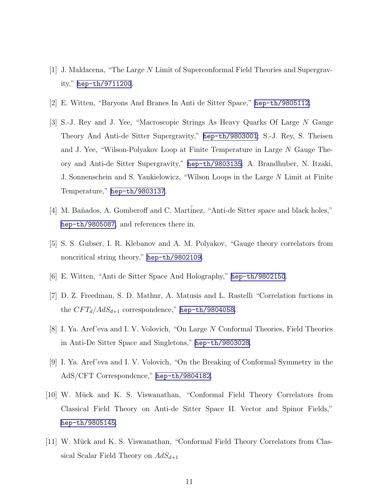- <span id="page-11-0"></span>[1] J. Maldacena, "The Large N Limit of Superconformal Field Theories and Supergravity," [hep-th/9711200](http://arxiv.org/abs/hep-th/9711200).
- [2] E. Witten, "Baryons And Branes In Anti de Sitter Space," [hep-th/9805112](http://arxiv.org/abs/hep-th/9805112).
- [3] S.-J. Rey and J. Yee, "Macroscopic Strings As Heavy Quarks Of Large N Gauge Theory And Anti-de Sitter Supergravity," [hep-th/9803001](http://arxiv.org/abs/hep-th/9803001); S.-J. Rey, S. Theisen and J. Yee, "Wilson-Polyakov Loop at Finite Temperature in Large N Gauge Theory and Anti-de Sitter Supergravity," [hep-th/9803135](http://arxiv.org/abs/hep-th/9803135); A. Brandhuber, N. Itzaki, J. Sonnenschein and S. Yankielowicz, "Wilson Loops in the Large N Limit at Finite Temperature," [hep-th/9803137](http://arxiv.org/abs/hep-th/9803137).
- [4] M. Bañados, A. Gomberoff and C. Martinez, "Anti-de Sitter space and black holes," [hep-th/9805087](http://arxiv.org/abs/hep-th/9805087), and references there in.
- [5] S. S. Gubser, I. R. Klebanov and A. M. Polyakov, "Gauge theory correlators from noncritical string theory," [hep-th/9802109](http://arxiv.org/abs/hep-th/9802109).
- [6] E. Witten, "Anti de Sitter Space And Holography," [hep-th/9802150](http://arxiv.org/abs/hep-th/9802150).
- [7] D. Z. Freedman, S. D. Mathur, A. Matusis and L. Rastelli "Correlation fuctions in the  $CFT_d/AdS_{d+1}$  correspondence," [hep-th/9804058](http://arxiv.org/abs/hep-th/9804058).
- [8] I. Ya. Aref'eva and I. V. Volovich, "On Large N Conformal Theories, Field Theories in Anti-De Sitter Space and Singletons," [hep-th/9803028](http://arxiv.org/abs/hep-th/9803028).
- [9] I. Ya. Aref'eva and I. V. Volovich, "On the Breaking of Conformal Symmetry in the AdS/CFT Correspondence," [hep-th/9804182](http://arxiv.org/abs/hep-th/9804182).
- [10] W. Mück and K. S. Viswanathan, "Conformal Field Theory Correlators from Classical Field Theory on Anti-de Sitter Space II. Vector and Spinor Fields," [hep-th/9805145](http://arxiv.org/abs/hep-th/9805145).
- [11] W. Mück and K. S. Viswanathan, "Conformal Field Theory Correlators from Classical Scalar Field Theory on  $AdS_{d+1}$